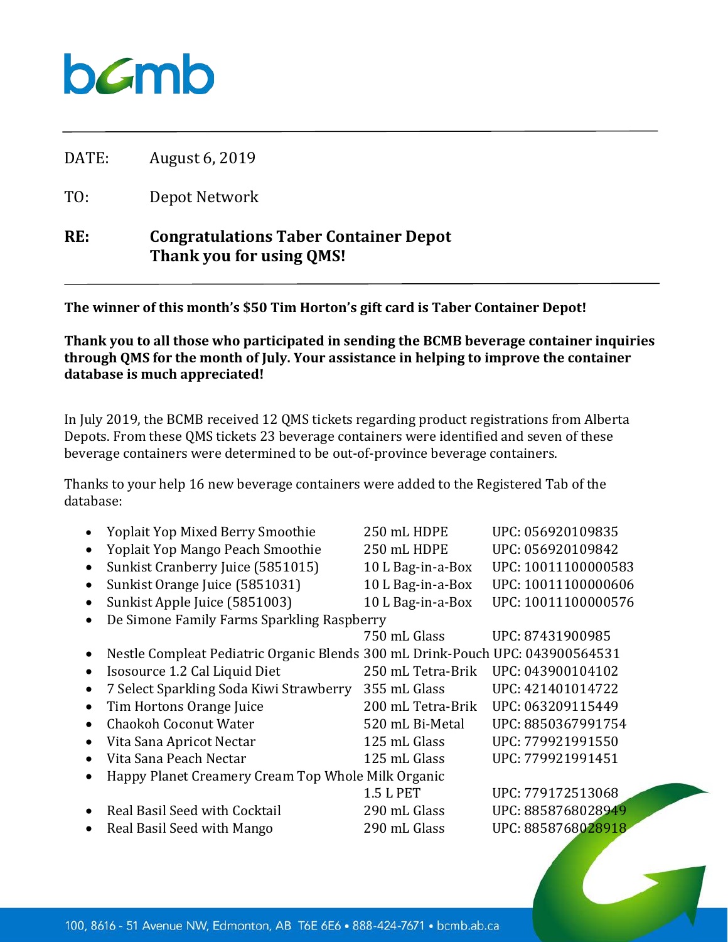## $b$ *C*mb

DATE: August 6, 2019

TO: Depot Network

## **RE: Congratulations Taber Container Depot Thank you for using QMS!**

**The winner of this month's \$50 Tim Horton's gift card is Taber Container Depot!**

**Thank you to all those who participated in sending the BCMB beverage container inquiries through QMS for the month of July. Your assistance in helping to improve the container database is much appreciated!**

In July 2019, the BCMB received 12 QMS tickets regarding product registrations from Alberta Depots. From these QMS tickets 23 beverage containers were identified and seven of these beverage containers were determined to be out-of-province beverage containers.

Thanks to your help 16 new beverage containers were added to the Registered Tab of the database:

|           | <b>Yoplait Yop Mixed Berry Smoothie</b>                                       | 250 mL HDPE       | UPC: 056920109835   |
|-----------|-------------------------------------------------------------------------------|-------------------|---------------------|
| $\bullet$ | Yoplait Yop Mango Peach Smoothie                                              | 250 mL HDPE       | UPC: 056920109842   |
| $\bullet$ | Sunkist Cranberry Juice (5851015)                                             | 10 L Bag-in-a-Box | UPC: 10011100000583 |
| $\bullet$ | Sunkist Orange Juice (5851031)                                                | 10 L Bag-in-a-Box | UPC: 10011100000606 |
| $\bullet$ | Sunkist Apple Juice (5851003)                                                 | 10 L Bag-in-a-Box | UPC: 10011100000576 |
| $\bullet$ | De Simone Family Farms Sparkling Raspberry                                    |                   |                     |
|           |                                                                               | 750 mL Glass      | UPC: 87431900985    |
| $\bullet$ | Nestle Compleat Pediatric Organic Blends 300 mL Drink-Pouch UPC: 043900564531 |                   |                     |
| $\bullet$ | Isosource 1.2 Cal Liquid Diet                                                 | 250 mL Tetra-Brik | UPC: 043900104102   |
| $\bullet$ | 7 Select Sparkling Soda Kiwi Strawberry                                       | 355 mL Glass      | UPC: 421401014722   |
| $\bullet$ | Tim Hortons Orange Juice                                                      | 200 mL Tetra-Brik | UPC: 063209115449   |
| $\bullet$ | <b>Chaokoh Coconut Water</b>                                                  | 520 mL Bi-Metal   | UPC: 8850367991754  |
|           | Vita Sana Apricot Nectar                                                      | 125 mL Glass      | UPC: 779921991550   |
| $\bullet$ | Vita Sana Peach Nectar                                                        | 125 mL Glass      | UPC: 779921991451   |
|           | Happy Planet Creamery Cream Top Whole Milk Organic                            |                   |                     |
|           |                                                                               | <b>1.5 L PET</b>  | UPC: 779172513068   |
| $\bullet$ | Real Basil Seed with Cocktail                                                 | 290 mL Glass      | UPC: 8858768028949  |
|           | Real Basil Seed with Mango                                                    | 290 mL Glass      | UPC: 8858768028918  |
|           |                                                                               |                   |                     |